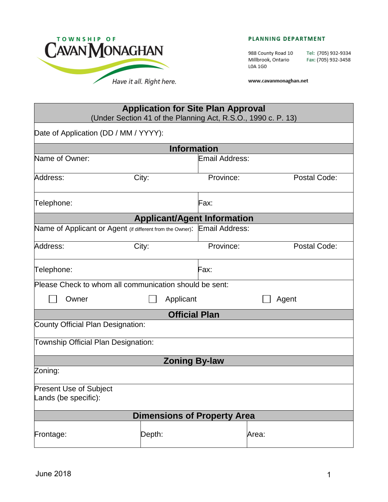

#### PLANNING DEPARTMENT

988 County Road 10 Millbrook, Ontario L0A 1G0

Tel: (705) 932-9334 Fax: (705) 932-3458

www.cavanmonaghan.net

|                                                        |        | <b>Application for Site Plan Approval</b><br>(Under Section 41 of the Planning Act, R.S.O., 1990 c. P. 13) |              |
|--------------------------------------------------------|--------|------------------------------------------------------------------------------------------------------------|--------------|
| Date of Application (DD / MM / YYYY):                  |        |                                                                                                            |              |
|                                                        |        | <b>Information</b>                                                                                         |              |
| Name of Owner:                                         |        | <b>Email Address:</b>                                                                                      |              |
| Address:                                               | City:  | Province:                                                                                                  | Postal Code: |
| Telephone:                                             |        | Fax:                                                                                                       |              |
|                                                        |        | <b>Applicant/Agent Information</b>                                                                         |              |
|                                                        |        | Name of Applicant or Agent (if different from the Owner): Email Address:                                   |              |
| Address:                                               | City:  | Province:                                                                                                  | Postal Code: |
| Telephone:                                             |        | Fax:                                                                                                       |              |
| Please Check to whom all communication should be sent: |        |                                                                                                            |              |
| Owner                                                  |        | Applicant                                                                                                  | Agent        |
|                                                        |        | <b>Official Plan</b>                                                                                       |              |
| County Official Plan Designation:                      |        |                                                                                                            |              |
| Township Official Plan Designation:                    |        |                                                                                                            |              |
|                                                        |        | <b>Zoning By-law</b>                                                                                       |              |
| Zoning:                                                |        |                                                                                                            |              |
| <b>Present Use of Subject</b><br>Lands (be specific):  |        |                                                                                                            |              |
|                                                        |        | <b>Dimensions of Property Area</b>                                                                         |              |
| Frontage:                                              | Depth: |                                                                                                            | Area:        |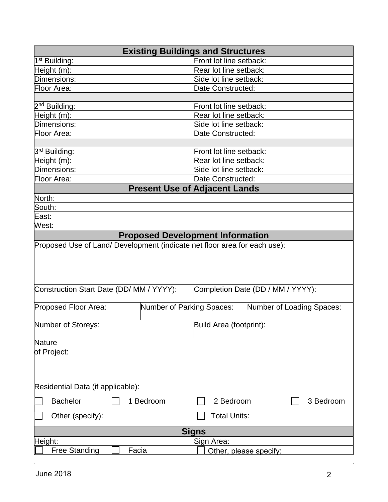| <b>Existing Buildings and Structures</b>                                                                             |                                      |  |  |  |
|----------------------------------------------------------------------------------------------------------------------|--------------------------------------|--|--|--|
| 1 <sup>st</sup> Building:                                                                                            | Front lot line setback:              |  |  |  |
| Height (m):                                                                                                          | Rear lot line setback:               |  |  |  |
| Dimensions:                                                                                                          | Side lot line setback:               |  |  |  |
| Floor Area:                                                                                                          | Date Constructed:                    |  |  |  |
|                                                                                                                      |                                      |  |  |  |
| 2 <sup>nd</sup> Building:                                                                                            | Front lot line setback:              |  |  |  |
| Height (m):                                                                                                          | Rear lot line setback:               |  |  |  |
| Dimensions:                                                                                                          | Side lot line setback:               |  |  |  |
| Floor Area:                                                                                                          | Date Constructed:                    |  |  |  |
|                                                                                                                      |                                      |  |  |  |
| 3 <sup>rd</sup> Building:                                                                                            | Front lot line setback:              |  |  |  |
| Height (m):                                                                                                          | Rear lot line setback:               |  |  |  |
| Dimensions:                                                                                                          | Side lot line setback:               |  |  |  |
| Floor Area:                                                                                                          | Date Constructed:                    |  |  |  |
|                                                                                                                      | <b>Present Use of Adjacent Lands</b> |  |  |  |
| North:                                                                                                               |                                      |  |  |  |
| South:                                                                                                               |                                      |  |  |  |
| East:                                                                                                                |                                      |  |  |  |
| West:                                                                                                                |                                      |  |  |  |
| <b>Proposed Development Information</b><br>Proposed Use of Land/ Development (indicate net floor area for each use): |                                      |  |  |  |
|                                                                                                                      |                                      |  |  |  |
| Construction Start Date (DD/ MM / YYYY):<br>Completion Date (DD / MM / YYYY):                                        |                                      |  |  |  |
| Proposed Floor Area:<br>Number of Parking Spaces:                                                                    | Number of Loading Spaces:            |  |  |  |
| Number of Storeys:                                                                                                   | Build Area (footprint):              |  |  |  |
| Nature                                                                                                               |                                      |  |  |  |
| of Project:                                                                                                          |                                      |  |  |  |
|                                                                                                                      |                                      |  |  |  |
| Residential Data (if applicable):                                                                                    |                                      |  |  |  |
| <b>Bachelor</b><br>1 Bedroom                                                                                         | 2 Bedroom<br>3 Bedroom               |  |  |  |
| Other (specify):                                                                                                     | <b>Total Units:</b>                  |  |  |  |
| Signs                                                                                                                |                                      |  |  |  |
| Height:                                                                                                              | Sign Area:                           |  |  |  |
| <b>Free Standing</b><br>Facia                                                                                        | Other, please specify:               |  |  |  |

 $\sim$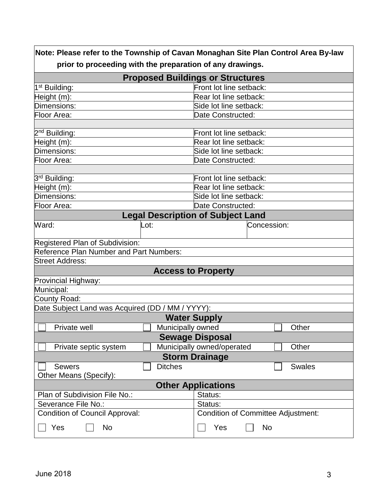|                                                           | Note: Please refer to the Township of Cavan Monaghan Site Plan Control Area By-law |  |  |  |
|-----------------------------------------------------------|------------------------------------------------------------------------------------|--|--|--|
| prior to proceeding with the preparation of any drawings. |                                                                                    |  |  |  |
| <b>Proposed Buildings or Structures</b>                   |                                                                                    |  |  |  |
| 1 <sup>st</sup> Building:                                 | Front lot line setback:                                                            |  |  |  |
| Height (m):                                               | Rear lot line setback:                                                             |  |  |  |
| Dimensions:                                               | Side lot line setback:                                                             |  |  |  |
| Floor Area:                                               | Date Constructed:                                                                  |  |  |  |
|                                                           |                                                                                    |  |  |  |
| 2 <sup>nd</sup> Building:                                 | Front lot line setback:                                                            |  |  |  |
| Height (m):                                               | Rear lot line setback:                                                             |  |  |  |
| Dimensions:                                               | Side lot line setback:                                                             |  |  |  |
| Floor Area:                                               | Date Constructed:                                                                  |  |  |  |
|                                                           |                                                                                    |  |  |  |
| 3 <sup>rd</sup> Building:                                 | Front lot line setback:                                                            |  |  |  |
| Height (m):                                               | Rear lot line setback:                                                             |  |  |  |
| Dimensions:                                               | Side lot line setback:                                                             |  |  |  |
| Floor Area:                                               | Date Constructed:                                                                  |  |  |  |
| <b>Legal Description of Subject Land</b>                  |                                                                                    |  |  |  |
| Ward:<br>Lot:                                             | Concession:                                                                        |  |  |  |
|                                                           |                                                                                    |  |  |  |
| Registered Plan of Subdivision:                           |                                                                                    |  |  |  |
| Reference Plan Number and Part Numbers:                   |                                                                                    |  |  |  |
| <b>Street Address:</b>                                    |                                                                                    |  |  |  |
|                                                           | <b>Access to Property</b>                                                          |  |  |  |
| Provincial Highway:                                       |                                                                                    |  |  |  |
| Municipal:                                                |                                                                                    |  |  |  |
| County Road:                                              |                                                                                    |  |  |  |
| Date Subject Land was Acquired (DD / MM / YYYY):          |                                                                                    |  |  |  |
|                                                           | <b>Water Supply</b>                                                                |  |  |  |
| Private well                                              | Municipally owned<br>Other                                                         |  |  |  |
| <b>Sewage Disposal</b>                                    |                                                                                    |  |  |  |
| Private septic system                                     | Municipally owned/operated<br>Other                                                |  |  |  |
|                                                           | <b>Storm Drainage</b>                                                              |  |  |  |
| <b>Ditches</b><br><b>Sewers</b>                           | <b>Swales</b>                                                                      |  |  |  |
| Other Means (Specify):                                    |                                                                                    |  |  |  |
| <b>Other Applications</b>                                 |                                                                                    |  |  |  |
| Plan of Subdivision File No.:<br>Status:                  |                                                                                    |  |  |  |
| Severance File No.:                                       | Status:                                                                            |  |  |  |
| <b>Condition of Council Approval:</b>                     | <b>Condition of Committee Adjustment:</b>                                          |  |  |  |
| Yes<br><b>No</b>                                          | Yes<br>No                                                                          |  |  |  |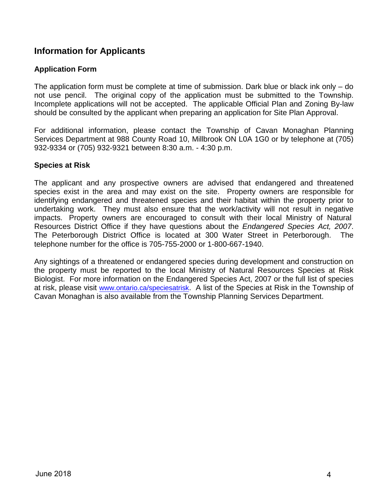## **Information for Applicants**

### **Application Form**

The application form must be complete at time of submission. Dark blue or black ink only – do not use pencil. The original copy of the application must be submitted to the Township. Incomplete applications will not be accepted. The applicable Official Plan and Zoning By-law should be consulted by the applicant when preparing an application for Site Plan Approval.

For additional information, please contact the Township of Cavan Monaghan Planning Services Department at 988 County Road 10, Millbrook ON L0A 1G0 or by telephone at (705) 932-9334 or (705) 932-9321 between 8:30 a.m. - 4:30 p.m.

#### **Species at Risk**

The applicant and any prospective owners are advised that endangered and threatened species exist in the area and may exist on the site. Property owners are responsible for identifying endangered and threatened species and their habitat within the property prior to undertaking work. They must also ensure that the work/activity will not result in negative impacts. Property owners are encouraged to consult with their local Ministry of Natural Resources District Office if they have questions about the *Endangered Species Act, 2007*. The Peterborough District Office is located at 300 Water Street in Peterborough. The telephone number for the office is 705-755-2000 or 1-800-667-1940.

Any sightings of a threatened or endangered species during development and construction on the property must be reported to the local Ministry of Natural Resources Species at Risk Biologist. For more information on the Endangered Species Act, 2007 or the full list of species at risk, please visit [www.ontario.ca/speciesatrisk](http://www.ontario.ca/speciesatrisk). A list of the Species at Risk in the Township of Cavan Monaghan is also available from the Township Planning Services Department.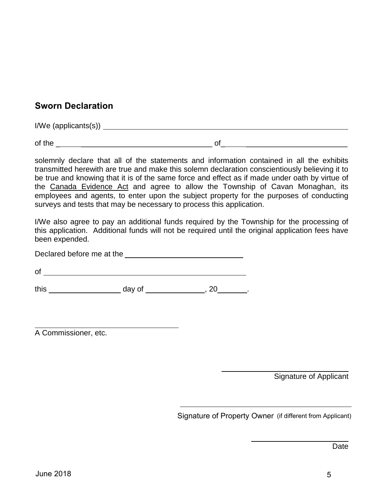# **Sworn Declaration**

I/We (applicants(s))

of the  $\Box$ 

solemnly declare that all of the statements and information contained in all the exhibits transmitted herewith are true and make this solemn declaration conscientiously believing it to be true and knowing that it is of the same force and effect as if made under oath by virtue of the Canada Evidence Act and agree to allow the Township of Cavan Monaghan, its employees and agents, to enter upon the subject property for the purposes of conducting surveys and tests that may be necessary to process this application.

I/We also agree to pay an additional funds required by the Township for the processing of this application. Additional funds will not be required until the original application fees have been expended.

Declared before me at the **contract of the set of the set of the set of the set of the set of the set of the set of the set of the set of the set of the set of the set of the set of the set of the set of the set of the set** 

of

this \_ \_\_\_\_\_\_\_\_\_\_\_ day of \_ \_\_\_\_\_\_\_\_, 20\_ \_.

A Commissioner, etc.

Signature of Applicant

 $\overline{\phantom{a}}$  , where  $\overline{\phantom{a}}$  , where  $\overline{\phantom{a}}$  , where  $\overline{\phantom{a}}$ 

Signature of Property Owner (if different from Applicant)

Date